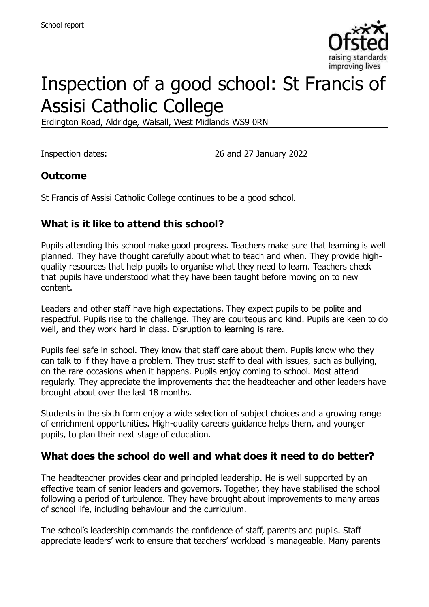

# Inspection of a good school: St Francis of Assisi Catholic College

Erdington Road, Aldridge, Walsall, West Midlands WS9 0RN

Inspection dates: 26 and 27 January 2022

## **Outcome**

St Francis of Assisi Catholic College continues to be a good school.

# **What is it like to attend this school?**

Pupils attending this school make good progress. Teachers make sure that learning is well planned. They have thought carefully about what to teach and when. They provide highquality resources that help pupils to organise what they need to learn. Teachers check that pupils have understood what they have been taught before moving on to new content.

Leaders and other staff have high expectations. They expect pupils to be polite and respectful. Pupils rise to the challenge. They are courteous and kind. Pupils are keen to do well, and they work hard in class. Disruption to learning is rare.

Pupils feel safe in school. They know that staff care about them. Pupils know who they can talk to if they have a problem. They trust staff to deal with issues, such as bullying, on the rare occasions when it happens. Pupils enjoy coming to school. Most attend regularly. They appreciate the improvements that the headteacher and other leaders have brought about over the last 18 months.

Students in the sixth form enjoy a wide selection of subject choices and a growing range of enrichment opportunities. High-quality careers guidance helps them, and younger pupils, to plan their next stage of education.

### **What does the school do well and what does it need to do better?**

The headteacher provides clear and principled leadership. He is well supported by an effective team of senior leaders and governors. Together, they have stabilised the school following a period of turbulence. They have brought about improvements to many areas of school life, including behaviour and the curriculum.

The school's leadership commands the confidence of staff, parents and pupils. Staff appreciate leaders' work to ensure that teachers' workload is manageable. Many parents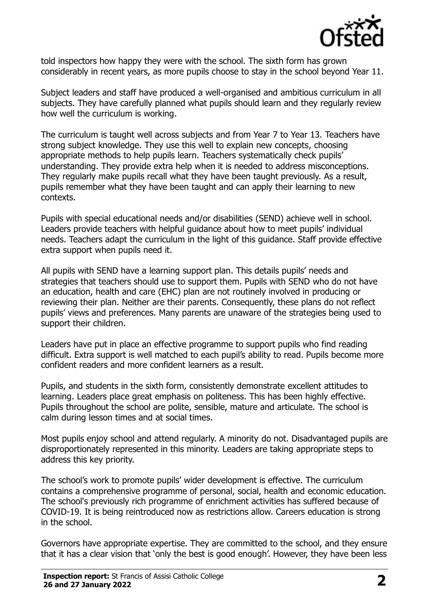

told inspectors how happy they were with the school. The sixth form has grown considerably in recent years, as more pupils choose to stay in the school beyond Year 11.

Subject leaders and staff have produced a well-organised and ambitious curriculum in all subjects. They have carefully planned what pupils should learn and they regularly review how well the curriculum is working.

The curriculum is taught well across subjects and from Year 7 to Year 13. Teachers have strong subject knowledge. They use this well to explain new concepts, choosing appropriate methods to help pupils learn. Teachers systematically check pupils' understanding. They provide extra help when it is needed to address misconceptions. They regularly make pupils recall what they have been taught previously. As a result, pupils remember what they have been taught and can apply their learning to new contexts.

Pupils with special educational needs and/or disabilities (SEND) achieve well in school. Leaders provide teachers with helpful guidance about how to meet pupils' individual needs. Teachers adapt the curriculum in the light of this guidance. Staff provide effective extra support when pupils need it.

All pupils with SEND have a learning support plan. This details pupils' needs and strategies that teachers should use to support them. Pupils with SEND who do not have an education, health and care (EHC) plan are not routinely involved in producing or reviewing their plan. Neither are their parents. Consequently, these plans do not reflect pupils' views and preferences. Many parents are unaware of the strategies being used to support their children.

Leaders have put in place an effective programme to support pupils who find reading difficult. Extra support is well matched to each pupil's ability to read. Pupils become more confident readers and more confident learners as a result.

Pupils, and students in the sixth form, consistently demonstrate excellent attitudes to learning. Leaders place great emphasis on politeness. This has been highly effective. Pupils throughout the school are polite, sensible, mature and articulate. The school is calm during lesson times and at social times.

Most pupils enjoy school and attend regularly. A minority do not. Disadvantaged pupils are disproportionately represented in this minority. Leaders are taking appropriate steps to address this key priority.

The school's work to promote pupils' wider development is effective. The curriculum contains a comprehensive programme of personal, social, health and economic education. The school's previously rich programme of enrichment activities has suffered because of COVID-19. It is being reintroduced now as restrictions allow. Careers education is strong in the school.

Governors have appropriate expertise. They are committed to the school, and they ensure that it has a clear vision that 'only the best is good enough'. However, they have been less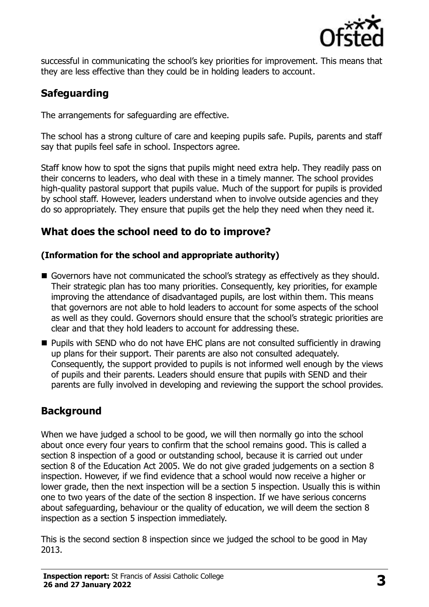

successful in communicating the school's key priorities for improvement. This means that they are less effective than they could be in holding leaders to account.

# **Safeguarding**

The arrangements for safeguarding are effective.

The school has a strong culture of care and keeping pupils safe. Pupils, parents and staff say that pupils feel safe in school. Inspectors agree.

Staff know how to spot the signs that pupils might need extra help. They readily pass on their concerns to leaders, who deal with these in a timely manner. The school provides high-quality pastoral support that pupils value. Much of the support for pupils is provided by school staff. However, leaders understand when to involve outside agencies and they do so appropriately. They ensure that pupils get the help they need when they need it.

# **What does the school need to do to improve?**

#### **(Information for the school and appropriate authority)**

- Governors have not communicated the school's strategy as effectively as they should. Their strategic plan has too many priorities. Consequently, key priorities, for example improving the attendance of disadvantaged pupils, are lost within them. This means that governors are not able to hold leaders to account for some aspects of the school as well as they could. Governors should ensure that the school's strategic priorities are clear and that they hold leaders to account for addressing these.
- Pupils with SEND who do not have EHC plans are not consulted sufficiently in drawing up plans for their support. Their parents are also not consulted adequately. Consequently, the support provided to pupils is not informed well enough by the views of pupils and their parents. Leaders should ensure that pupils with SEND and their parents are fully involved in developing and reviewing the support the school provides.

# **Background**

When we have judged a school to be good, we will then normally go into the school about once every four years to confirm that the school remains good. This is called a section 8 inspection of a good or outstanding school, because it is carried out under section 8 of the Education Act 2005. We do not give graded judgements on a section 8 inspection. However, if we find evidence that a school would now receive a higher or lower grade, then the next inspection will be a section 5 inspection. Usually this is within one to two years of the date of the section 8 inspection. If we have serious concerns about safeguarding, behaviour or the quality of education, we will deem the section 8 inspection as a section 5 inspection immediately.

This is the second section 8 inspection since we judged the school to be good in May 2013.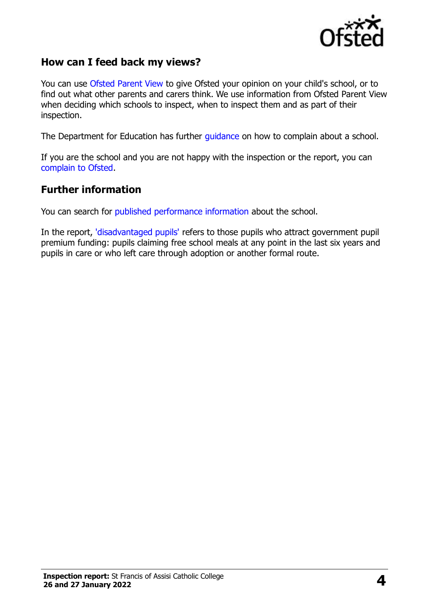

#### **How can I feed back my views?**

You can use [Ofsted Parent View](https://parentview.ofsted.gov.uk/) to give Ofsted your opinion on your child's school, or to find out what other parents and carers think. We use information from Ofsted Parent View when deciding which schools to inspect, when to inspect them and as part of their inspection.

The Department for Education has further [guidance](http://www.gov.uk/complain-about-school) on how to complain about a school.

If you are the school and you are not happy with the inspection or the report, you can [complain to Ofsted.](https://www.gov.uk/complain-ofsted-report)

#### **Further information**

You can search for [published performance information](http://www.compare-school-performance.service.gov.uk/) about the school.

In the report, ['disadvantaged pupils'](http://www.gov.uk/guidance/pupil-premium-information-for-schools-and-alternative-provision-settings) refers to those pupils who attract government pupil premium funding: pupils claiming free school meals at any point in the last six years and pupils in care or who left care through adoption or another formal route.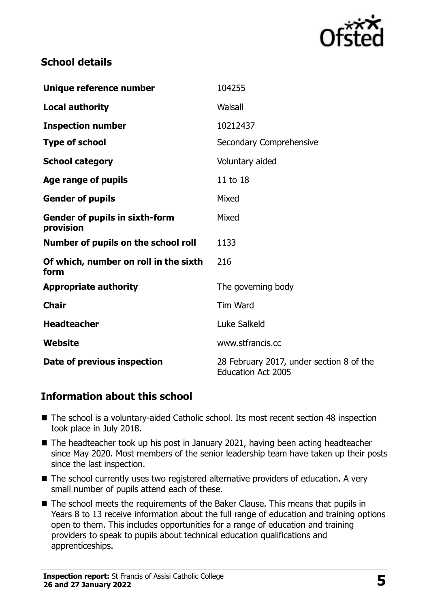

### **School details**

| Unique reference number                            | 104255                                                                |
|----------------------------------------------------|-----------------------------------------------------------------------|
| <b>Local authority</b>                             | Walsall                                                               |
| <b>Inspection number</b>                           | 10212437                                                              |
| <b>Type of school</b>                              | Secondary Comprehensive                                               |
| <b>School category</b>                             | Voluntary aided                                                       |
| Age range of pupils                                | 11 to 18                                                              |
| <b>Gender of pupils</b>                            | Mixed                                                                 |
| <b>Gender of pupils in sixth-form</b><br>provision | Mixed                                                                 |
| Number of pupils on the school roll                | 1133                                                                  |
| Of which, number on roll in the sixth<br>form      | 216                                                                   |
| <b>Appropriate authority</b>                       | The governing body                                                    |
| <b>Chair</b>                                       | <b>Tim Ward</b>                                                       |
| <b>Headteacher</b>                                 | Luke Salkeld                                                          |
| Website                                            | www.stfrancis.cc                                                      |
| Date of previous inspection                        | 28 February 2017, under section 8 of the<br><b>Education Act 2005</b> |

### **Information about this school**

- The school is a voluntary-aided Catholic school. Its most recent section 48 inspection took place in July 2018.
- The headteacher took up his post in January 2021, having been acting headteacher since May 2020. Most members of the senior leadership team have taken up their posts since the last inspection.
- The school currently uses two registered alternative providers of education. A very small number of pupils attend each of these.
- The school meets the requirements of the Baker Clause. This means that pupils in Years 8 to 13 receive information about the full range of education and training options open to them. This includes opportunities for a range of education and training providers to speak to pupils about technical education qualifications and apprenticeships.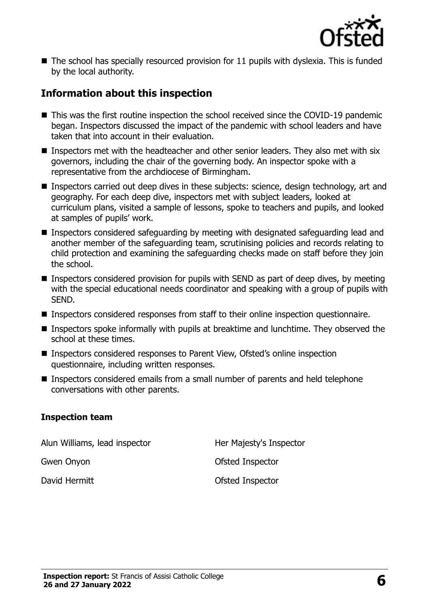

 $\blacksquare$  The school has specially resourced provision for 11 pupils with dyslexia. This is funded by the local authority.

## **Information about this inspection**

- This was the first routine inspection the school received since the COVID-19 pandemic began. Inspectors discussed the impact of the pandemic with school leaders and have taken that into account in their evaluation.
- Inspectors met with the headteacher and other senior leaders. They also met with six governors, including the chair of the governing body. An inspector spoke with a representative from the archdiocese of Birmingham.
- Inspectors carried out deep dives in these subjects: science, design technology, art and geography. For each deep dive, inspectors met with subject leaders, looked at curriculum plans, visited a sample of lessons, spoke to teachers and pupils, and looked at samples of pupils' work.
- Inspectors considered safeguarding by meeting with designated safeguarding lead and another member of the safeguarding team, scrutinising policies and records relating to child protection and examining the safeguarding checks made on staff before they join the school.
- Inspectors considered provision for pupils with SEND as part of deep dives, by meeting with the special educational needs coordinator and speaking with a group of pupils with SEND.
- Inspectors considered responses from staff to their online inspection questionnaire.
- Inspectors spoke informally with pupils at breaktime and lunchtime. They observed the school at these times.
- Inspectors considered responses to Parent View, Ofsted's online inspection questionnaire, including written responses.
- Inspectors considered emails from a small number of parents and held telephone conversations with other parents.

#### **Inspection team**

Alun Williams, lead inspector **Her Majesty's Inspector** Gwen Onyon **Gwen Official Community** Control Ofsted Inspector

David Hermitt **David Hermitt Ofsted Inspector**